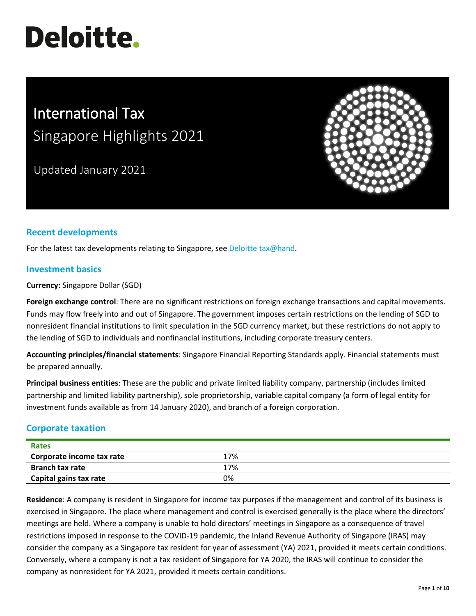# **Deloitte.**

## International Tax Singapore Highlights 2021

Updated January 2021



### **Recent developments**

For the latest tax developments relating to Singapore, see [Deloitte tax@hand.](https://www.taxathand.com/world-news/Singapore)

#### **Investment basics**

**Currency:** Singapore Dollar (SGD)

**Foreign exchange control**: There are no significant restrictions on foreign exchange transactions and capital movements. Funds may flow freely into and out of Singapore. The government imposes certain restrictions on the lending of SGD to nonresident financial institutions to limit speculation in the SGD currency market, but these restrictions do not apply to the lending of SGD to individuals and nonfinancial institutions, including corporate treasury centers.

**Accounting principles/financial statements**: Singapore Financial Reporting Standards apply. Financial statements must be prepared annually.

**Principal business entities**: These are the public and private limited liability company, partnership (includes limited partnership and limited liability partnership), sole proprietorship, variable capital company (a form of legal entity for investment funds available as from 14 January 2020), and branch of a foreign corporation.

#### **Corporate taxation**

| Rates                     |     |  |
|---------------------------|-----|--|
| Corporate income tax rate | 17% |  |
| <b>Branch tax rate</b>    | 17% |  |
| Capital gains tax rate    | 0%  |  |

**Residence**: A company is resident in Singapore for income tax purposes if the management and control of its business is exercised in Singapore. The place where management and control is exercised generally is the place where the directors' meetings are held. Where a company is unable to hold directors' meetings in Singapore as a consequence of travel restrictions imposed in response to the COVID-19 pandemic, the Inland Revenue Authority of Singapore (IRAS) may consider the company as a Singapore tax resident for year of assessment (YA) 2021, provided it meets certain conditions. Conversely, where a company is not a tax resident of Singapore for YA 2020, the IRAS will continue to consider the company as nonresident for YA 2021, provided it meets certain conditions.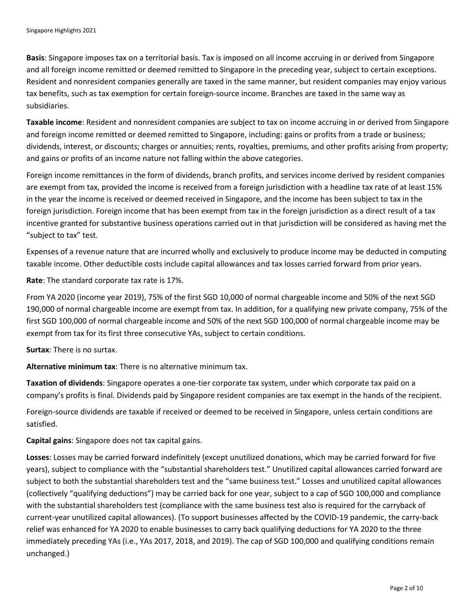**Basis**: Singapore imposes tax on a territorial basis. Tax is imposed on all income accruing in or derived from Singapore and all foreign income remitted or deemed remitted to Singapore in the preceding year, subject to certain exceptions. Resident and nonresident companies generally are taxed in the same manner, but resident companies may enjoy various tax benefits, such as tax exemption for certain foreign-source income. Branches are taxed in the same way as subsidiaries.

**Taxable income**: Resident and nonresident companies are subject to tax on income accruing in or derived from Singapore and foreign income remitted or deemed remitted to Singapore, including: gains or profits from a trade or business; dividends, interest, or discounts; charges or annuities; rents, royalties, premiums, and other profits arising from property; and gains or profits of an income nature not falling within the above categories.

Foreign income remittances in the form of dividends, branch profits, and services income derived by resident companies are exempt from tax, provided the income is received from a foreign jurisdiction with a headline tax rate of at least 15% in the year the income is received or deemed received in Singapore, and the income has been subject to tax in the foreign jurisdiction. Foreign income that has been exempt from tax in the foreign jurisdiction as a direct result of a tax incentive granted for substantive business operations carried out in that jurisdiction will be considered as having met the "subject to tax" test.

Expenses of a revenue nature that are incurred wholly and exclusively to produce income may be deducted in computing taxable income. Other deductible costs include capital allowances and tax losses carried forward from prior years.

**Rate**: The standard corporate tax rate is 17%.

From YA 2020 (income year 2019), 75% of the first SGD 10,000 of normal chargeable income and 50% of the next SGD 190,000 of normal chargeable income are exempt from tax. In addition, for a qualifying new private company, 75% of the first SGD 100,000 of normal chargeable income and 50% of the next SGD 100,000 of normal chargeable income may be exempt from tax for its first three consecutive YAs, subject to certain conditions.

**Surtax**: There is no surtax.

**Alternative minimum tax**: There is no alternative minimum tax.

**Taxation of dividends**: Singapore operates a one-tier corporate tax system, under which corporate tax paid on a company's profits is final. Dividends paid by Singapore resident companies are tax exempt in the hands of the recipient.

Foreign-source dividends are taxable if received or deemed to be received in Singapore, unless certain conditions are satisfied.

**Capital gains**: Singapore does not tax capital gains.

**Losses**: Losses may be carried forward indefinitely (except unutilized donations, which may be carried forward for five years), subject to compliance with the "substantial shareholders test." Unutilized capital allowances carried forward are subject to both the substantial shareholders test and the "same business test." Losses and unutilized capital allowances (collectively "qualifying deductions") may be carried back for one year, subject to a cap of SGD 100,000 and compliance with the substantial shareholders test (compliance with the same business test also is required for the carryback of current-year unutilized capital allowances). (To support businesses affected by the COVID-19 pandemic, the carry-back relief was enhanced for YA 2020 to enable businesses to carry back qualifying deductions for YA 2020 to the three immediately preceding YAs (i.e., YAs 2017, 2018, and 2019). The cap of SGD 100,000 and qualifying conditions remain unchanged.)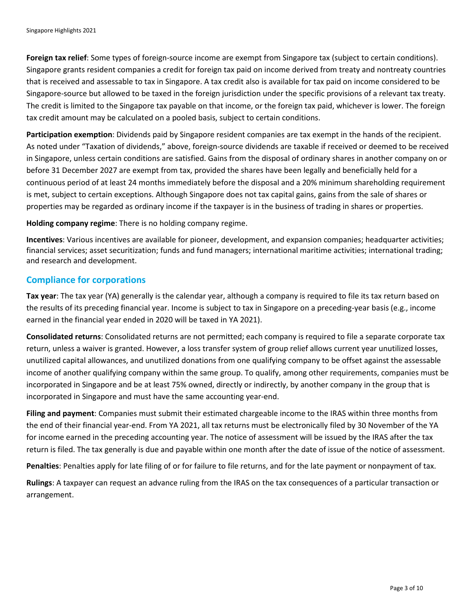**Foreign tax relief**: Some types of foreign-source income are exempt from Singapore tax (subject to certain conditions). Singapore grants resident companies a credit for foreign tax paid on income derived from treaty and nontreaty countries that is received and assessable to tax in Singapore. A tax credit also is available for tax paid on income considered to be Singapore-source but allowed to be taxed in the foreign jurisdiction under the specific provisions of a relevant tax treaty. The credit is limited to the Singapore tax payable on that income, or the foreign tax paid, whichever is lower. The foreign tax credit amount may be calculated on a pooled basis, subject to certain conditions.

**Participation exemption**: Dividends paid by Singapore resident companies are tax exempt in the hands of the recipient. As noted under "Taxation of dividends," above, foreign-source dividends are taxable if received or deemed to be received in Singapore, unless certain conditions are satisfied. Gains from the disposal of ordinary shares in another company on or before 31 December 2027 are exempt from tax, provided the shares have been legally and beneficially held for a continuous period of at least 24 months immediately before the disposal and a 20% minimum shareholding requirement is met, subject to certain exceptions. Although Singapore does not tax capital gains, gains from the sale of shares or properties may be regarded as ordinary income if the taxpayer is in the business of trading in shares or properties.

**Holding company regime**: There is no holding company regime.

**Incentives**: Various incentives are available for pioneer, development, and expansion companies; headquarter activities; financial services; asset securitization; funds and fund managers; international maritime activities; international trading; and research and development.

#### **Compliance for corporations**

**Tax year**: The tax year (YA) generally is the calendar year, although a company is required to file its tax return based on the results of its preceding financial year. Income is subject to tax in Singapore on a preceding-year basis (e.g., income earned in the financial year ended in 2020 will be taxed in YA 2021).

**Consolidated returns**: Consolidated returns are not permitted; each company is required to file a separate corporate tax return, unless a waiver is granted. However, a loss transfer system of group relief allows current year unutilized losses, unutilized capital allowances, and unutilized donations from one qualifying company to be offset against the assessable income of another qualifying company within the same group. To qualify, among other requirements, companies must be incorporated in Singapore and be at least 75% owned, directly or indirectly, by another company in the group that is incorporated in Singapore and must have the same accounting year-end.

**Filing and payment**: Companies must submit their estimated chargeable income to the IRAS within three months from the end of their financial year-end. From YA 2021, all tax returns must be electronically filed by 30 November of the YA for income earned in the preceding accounting year. The notice of assessment will be issued by the IRAS after the tax return is filed. The tax generally is due and payable within one month after the date of issue of the notice of assessment.

**Penalties**: Penalties apply for late filing of or for failure to file returns, and for the late payment or nonpayment of tax.

**Rulings**: A taxpayer can request an advance ruling from the IRAS on the tax consequences of a particular transaction or arrangement.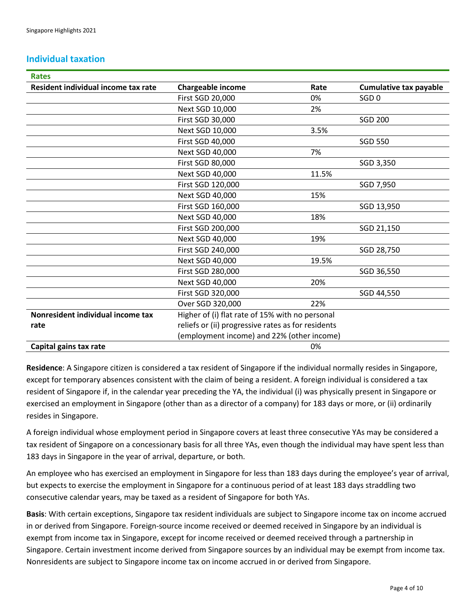#### **Individual taxation**

| <b>Rates</b>                        |                                                    |       |                               |
|-------------------------------------|----------------------------------------------------|-------|-------------------------------|
| Resident individual income tax rate | Chargeable income                                  | Rate  | <b>Cumulative tax payable</b> |
|                                     | First SGD 20,000                                   | 0%    | SGD <sub>0</sub>              |
|                                     | Next SGD 10,000                                    | 2%    |                               |
|                                     | First SGD 30,000                                   |       | <b>SGD 200</b>                |
|                                     | Next SGD 10,000                                    | 3.5%  |                               |
|                                     | First SGD 40,000                                   |       | <b>SGD 550</b>                |
|                                     | Next SGD 40,000                                    | 7%    |                               |
|                                     | First SGD 80,000                                   |       | SGD 3,350                     |
|                                     | Next SGD 40,000                                    | 11.5% |                               |
|                                     | First SGD 120,000                                  |       | SGD 7,950                     |
|                                     | Next SGD 40,000                                    | 15%   |                               |
|                                     | First SGD 160,000                                  |       | SGD 13,950                    |
|                                     | Next SGD 40,000                                    | 18%   |                               |
|                                     | First SGD 200,000                                  |       | SGD 21,150                    |
|                                     | Next SGD 40,000                                    | 19%   |                               |
|                                     | First SGD 240,000                                  |       | SGD 28,750                    |
|                                     | Next SGD 40,000                                    | 19.5% |                               |
|                                     | First SGD 280,000                                  |       | SGD 36,550                    |
|                                     | Next SGD 40,000                                    | 20%   |                               |
|                                     | First SGD 320,000                                  |       | SGD 44,550                    |
|                                     | Over SGD 320,000                                   | 22%   |                               |
| Nonresident individual income tax   | Higher of (i) flat rate of 15% with no personal    |       |                               |
| rate                                | reliefs or (ii) progressive rates as for residents |       |                               |
|                                     | (employment income) and 22% (other income)         |       |                               |
| Capital gains tax rate              | 0%                                                 |       |                               |

**Residence**: A Singapore citizen is considered a tax resident of Singapore if the individual normally resides in Singapore, except for temporary absences consistent with the claim of being a resident. A foreign individual is considered a tax resident of Singapore if, in the calendar year preceding the YA, the individual (i) was physically present in Singapore or exercised an employment in Singapore (other than as a director of a company) for 183 days or more, or (ii) ordinarily resides in Singapore.

A foreign individual whose employment period in Singapore covers at least three consecutive YAs may be considered a tax resident of Singapore on a concessionary basis for all three YAs, even though the individual may have spent less than 183 days in Singapore in the year of arrival, departure, or both.

An employee who has exercised an employment in Singapore for less than 183 days during the employee's year of arrival, but expects to exercise the employment in Singapore for a continuous period of at least 183 days straddling two consecutive calendar years, may be taxed as a resident of Singapore for both YAs.

**Basis**: With certain exceptions, Singapore tax resident individuals are subject to Singapore income tax on income accrued in or derived from Singapore. Foreign-source income received or deemed received in Singapore by an individual is exempt from income tax in Singapore, except for income received or deemed received through a partnership in Singapore. Certain investment income derived from Singapore sources by an individual may be exempt from income tax. Nonresidents are subject to Singapore income tax on income accrued in or derived from Singapore.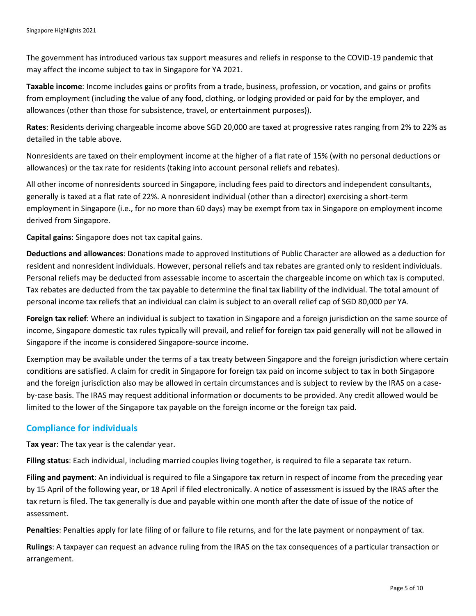The government has introduced various tax support measures and reliefs in response to the COVID-19 pandemic that may affect the income subject to tax in Singapore for YA 2021.

**Taxable income**: Income includes gains or profits from a trade, business, profession, or vocation, and gains or profits from employment (including the value of any food, clothing, or lodging provided or paid for by the employer, and allowances (other than those for subsistence, travel, or entertainment purposes)).

**Rates**: Residents deriving chargeable income above SGD 20,000 are taxed at progressive rates ranging from 2% to 22% as detailed in the table above.

Nonresidents are taxed on their employment income at the higher of a flat rate of 15% (with no personal deductions or allowances) or the tax rate for residents (taking into account personal reliefs and rebates).

All other income of nonresidents sourced in Singapore, including fees paid to directors and independent consultants, generally is taxed at a flat rate of 22%. A nonresident individual (other than a director) exercising a short-term employment in Singapore (i.e., for no more than 60 days) may be exempt from tax in Singapore on employment income derived from Singapore.

**Capital gains**: Singapore does not tax capital gains.

**Deductions and allowances**: Donations made to approved Institutions of Public Character are allowed as a deduction for resident and nonresident individuals. However, personal reliefs and tax rebates are granted only to resident individuals. Personal reliefs may be deducted from assessable income to ascertain the chargeable income on which tax is computed. Tax rebates are deducted from the tax payable to determine the final tax liability of the individual. The total amount of personal income tax reliefs that an individual can claim is subject to an overall relief cap of SGD 80,000 per YA.

**Foreign tax relief**: Where an individual is subject to taxation in Singapore and a foreign jurisdiction on the same source of income, Singapore domestic tax rules typically will prevail, and relief for foreign tax paid generally will not be allowed in Singapore if the income is considered Singapore-source income.

Exemption may be available under the terms of a tax treaty between Singapore and the foreign jurisdiction where certain conditions are satisfied. A claim for credit in Singapore for foreign tax paid on income subject to tax in both Singapore and the foreign jurisdiction also may be allowed in certain circumstances and is subject to review by the IRAS on a caseby-case basis. The IRAS may request additional information or documents to be provided. Any credit allowed would be limited to the lower of the Singapore tax payable on the foreign income or the foreign tax paid.

#### **Compliance for individuals**

**Tax year**: The tax year is the calendar year.

**Filing status**: Each individual, including married couples living together, is required to file a separate tax return.

**Filing and payment**: An individual is required to file a Singapore tax return in respect of income from the preceding year by 15 April of the following year, or 18 April if filed electronically. A notice of assessment is issued by the IRAS after the tax return is filed. The tax generally is due and payable within one month after the date of issue of the notice of assessment.

**Penalties**: Penalties apply for late filing of or failure to file returns, and for the late payment or nonpayment of tax.

**Rulings**: A taxpayer can request an advance ruling from the IRAS on the tax consequences of a particular transaction or arrangement.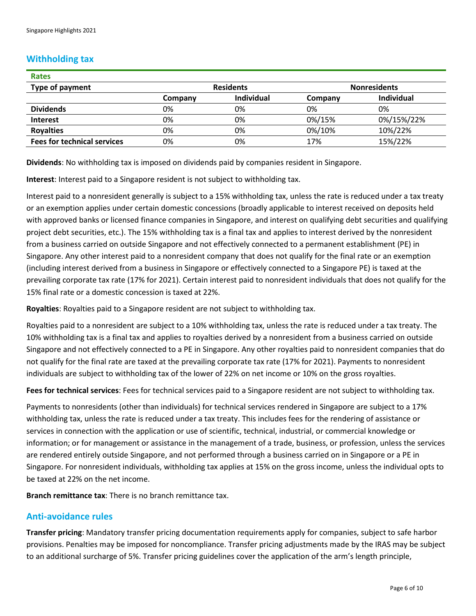#### **Withholding tax**

| <b>Rates</b>                       |                  |            |                     |            |
|------------------------------------|------------------|------------|---------------------|------------|
| Type of payment                    | <b>Residents</b> |            | <b>Nonresidents</b> |            |
|                                    | Company          | Individual | Company             | Individual |
| <b>Dividends</b>                   | 0%               | 0%         | 0%                  | 0%         |
| <b>Interest</b>                    | 0%               | 0%         | 0%/15%              | 0%/15%/22% |
| <b>Royalties</b>                   | 0%               | 0%         | 0%/10%              | 10%/22%    |
| <b>Fees for technical services</b> | 0%               | 0%         | 17%                 | 15%/22%    |

**Dividends**: No withholding tax is imposed on dividends paid by companies resident in Singapore.

**Interest**: Interest paid to a Singapore resident is not subject to withholding tax.

Interest paid to a nonresident generally is subject to a 15% withholding tax, unless the rate is reduced under a tax treaty or an exemption applies under certain domestic concessions (broadly applicable to interest received on deposits held with approved banks or licensed finance companies in Singapore, and interest on qualifying debt securities and qualifying project debt securities, etc.). The 15% withholding tax is a final tax and applies to interest derived by the nonresident from a business carried on outside Singapore and not effectively connected to a permanent establishment (PE) in Singapore. Any other interest paid to a nonresident company that does not qualify for the final rate or an exemption (including interest derived from a business in Singapore or effectively connected to a Singapore PE) is taxed at the prevailing corporate tax rate (17% for 2021). Certain interest paid to nonresident individuals that does not qualify for the 15% final rate or a domestic concession is taxed at 22%.

**Royalties**: Royalties paid to a Singapore resident are not subject to withholding tax.

Royalties paid to a nonresident are subject to a 10% withholding tax, unless the rate is reduced under a tax treaty. The 10% withholding tax is a final tax and applies to royalties derived by a nonresident from a business carried on outside Singapore and not effectively connected to a PE in Singapore. Any other royalties paid to nonresident companies that do not qualify for the final rate are taxed at the prevailing corporate tax rate (17% for 2021). Payments to nonresident individuals are subject to withholding tax of the lower of 22% on net income or 10% on the gross royalties.

**Fees for technical services**: Fees for technical services paid to a Singapore resident are not subject to withholding tax.

Payments to nonresidents (other than individuals) for technical services rendered in Singapore are subject to a 17% withholding tax, unless the rate is reduced under a tax treaty. This includes fees for the rendering of assistance or services in connection with the application or use of scientific, technical, industrial, or commercial knowledge or information; or for management or assistance in the management of a trade, business, or profession, unless the services are rendered entirely outside Singapore, and not performed through a business carried on in Singapore or a PE in Singapore. For nonresident individuals, withholding tax applies at 15% on the gross income, unless the individual opts to be taxed at 22% on the net income.

**Branch remittance tax**: There is no branch remittance tax.

#### **Anti-avoidance rules**

**Transfer pricing**: Mandatory transfer pricing documentation requirements apply for companies, subject to safe harbor provisions. Penalties may be imposed for noncompliance. Transfer pricing adjustments made by the IRAS may be subject to an additional surcharge of 5%. Transfer pricing guidelines cover the application of the arm's length principle,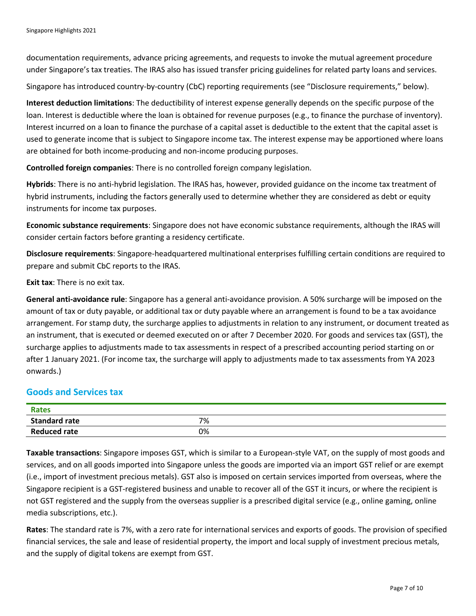documentation requirements, advance pricing agreements, and requests to invoke the mutual agreement procedure under Singapore's tax treaties. The IRAS also has issued transfer pricing guidelines for related party loans and services.

Singapore has introduced country-by-country (CbC) reporting requirements (see "Disclosure requirements," below).

**Interest deduction limitations**: The deductibility of interest expense generally depends on the specific purpose of the loan. Interest is deductible where the loan is obtained for revenue purposes (e.g., to finance the purchase of inventory). Interest incurred on a loan to finance the purchase of a capital asset is deductible to the extent that the capital asset is used to generate income that is subject to Singapore income tax. The interest expense may be apportioned where loans are obtained for both income-producing and non-income producing purposes.

**Controlled foreign companies**: There is no controlled foreign company legislation.

**Hybrids**: There is no anti-hybrid legislation. The IRAS has, however, provided guidance on the income tax treatment of hybrid instruments, including the factors generally used to determine whether they are considered as debt or equity instruments for income tax purposes.

**Economic substance requirements**: Singapore does not have economic substance requirements, although the IRAS will consider certain factors before granting a residency certificate.

**Disclosure requirements**: Singapore-headquartered multinational enterprises fulfilling certain conditions are required to prepare and submit CbC reports to the IRAS.

**Exit tax**: There is no exit tax.

**General anti-avoidance rule**: Singapore has a general anti-avoidance provision. A 50% surcharge will be imposed on the amount of tax or duty payable, or additional tax or duty payable where an arrangement is found to be a tax avoidance arrangement. For stamp duty, the surcharge applies to adjustments in relation to any instrument, or document treated as an instrument, that is executed or deemed executed on or after 7 December 2020. For goods and services tax (GST), the surcharge applies to adjustments made to tax assessments in respect of a prescribed accounting period starting on or after 1 January 2021. (For income tax, the surcharge will apply to adjustments made to tax assessments from YA 2023 onwards.)

#### **Goods and Services tax**

| Rates                |    |  |
|----------------------|----|--|
| <b>Standard rate</b> | 7% |  |
| <b>Reduced rate</b>  | 0% |  |

**Taxable transactions**: Singapore imposes GST, which is similar to a European-style VAT, on the supply of most goods and services, and on all goods imported into Singapore unless the goods are imported via an import GST relief or are exempt (i.e., import of investment precious metals). GST also is imposed on certain services imported from overseas, where the Singapore recipient is a GST-registered business and unable to recover all of the GST it incurs, or where the recipient is not GST registered and the supply from the overseas supplier is a prescribed digital service (e.g., online gaming, online media subscriptions, etc.).

**Rates**: The standard rate is 7%, with a zero rate for international services and exports of goods. The provision of specified financial services, the sale and lease of residential property, the import and local supply of investment precious metals, and the supply of digital tokens are exempt from GST.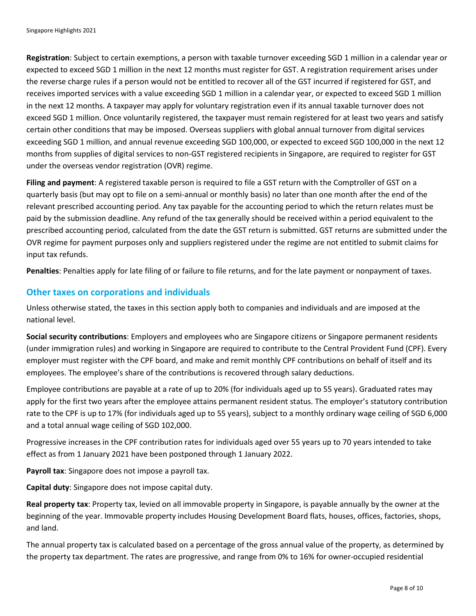**Registration**: Subject to certain exemptions, a person with taxable turnover exceeding SGD 1 million in a calendar year or expected to exceed SGD 1 million in the next 12 months must register for GST. A registration requirement arises under the reverse charge rules if a person would not be entitled to recover all of the GST incurred if registered for GST, and receives imported services with a value exceeding SGD 1 million in a calendar year, or expected to exceed SGD 1 million in the next 12 months. A taxpayer may apply for voluntary registration even if its annual taxable turnover does not exceed SGD 1 million. Once voluntarily registered, the taxpayer must remain registered for at least two years and satisfy certain other conditions that may be imposed. Overseas suppliers with global annual turnover from digital services exceeding SGD 1 million, and annual revenue exceeding SGD 100,000, or expected to exceed SGD 100,000 in the next 12 months from supplies of digital services to non-GST registered recipients in Singapore, are required to register for GST under the overseas vendor registration (OVR) regime.

**Filing and payment**: A registered taxable person is required to file a GST return with the Comptroller of GST on a quarterly basis (but may opt to file on a semi-annual or monthly basis) no later than one month after the end of the relevant prescribed accounting period. Any tax payable for the accounting period to which the return relates must be paid by the submission deadline. Any refund of the tax generally should be received within a period equivalent to the prescribed accounting period, calculated from the date the GST return is submitted. GST returns are submitted under the OVR regime for payment purposes only and suppliers registered under the regime are not entitled to submit claims for input tax refunds.

**Penalties**: Penalties apply for late filing of or failure to file returns, and for the late payment or nonpayment of taxes.

#### **Other taxes on corporations and individuals**

Unless otherwise stated, the taxes in this section apply both to companies and individuals and are imposed at the national level.

**Social security contributions**: Employers and employees who are Singapore citizens or Singapore permanent residents (under immigration rules) and working in Singapore are required to contribute to the Central Provident Fund (CPF). Every employer must register with the CPF board, and make and remit monthly CPF contributions on behalf of itself and its employees. The employee's share of the contributions is recovered through salary deductions.

Employee contributions are payable at a rate of up to 20% (for individuals aged up to 55 years). Graduated rates may apply for the first two years after the employee attains permanent resident status. The employer's statutory contribution rate to the CPF is up to 17% (for individuals aged up to 55 years), subject to a monthly ordinary wage ceiling of SGD 6,000 and a total annual wage ceiling of SGD 102,000.

Progressive increases in the CPF contribution rates for individuals aged over 55 years up to 70 years intended to take effect as from 1 January 2021 have been postponed through 1 January 2022.

**Payroll tax**: Singapore does not impose a payroll tax.

**Capital duty**: Singapore does not impose capital duty.

**Real property tax**: Property tax, levied on all immovable property in Singapore, is payable annually by the owner at the beginning of the year. Immovable property includes Housing Development Board flats, houses, offices, factories, shops, and land.

The annual property tax is calculated based on a percentage of the gross annual value of the property, as determined by the property tax department. The rates are progressive, and range from 0% to 16% for owner-occupied residential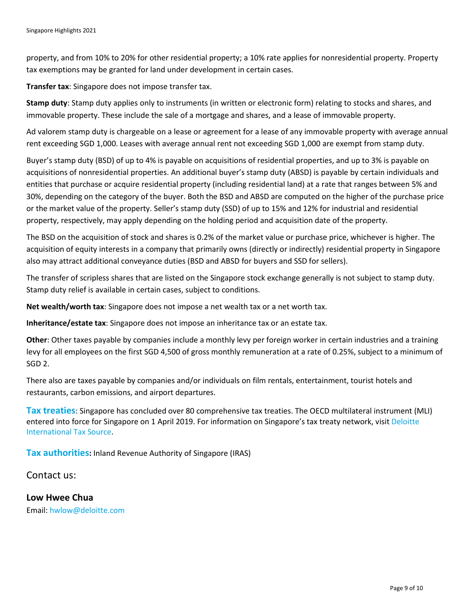property, and from 10% to 20% for other residential property; a 10% rate applies for nonresidential property. Property tax exemptions may be granted for land under development in certain cases.

**Transfer tax**: Singapore does not impose transfer tax.

**Stamp duty**: Stamp duty applies only to instruments (in written or electronic form) relating to stocks and shares, and immovable property. These include the sale of a mortgage and shares, and a lease of immovable property.

Ad valorem stamp duty is chargeable on a lease or agreement for a lease of any immovable property with average annual rent exceeding SGD 1,000. Leases with average annual rent not exceeding SGD 1,000 are exempt from stamp duty.

Buyer's stamp duty (BSD) of up to 4% is payable on acquisitions of residential properties, and up to 3% is payable on acquisitions of nonresidential properties. An additional buyer's stamp duty (ABSD) is payable by certain individuals and entities that purchase or acquire residential property (including residential land) at a rate that ranges between 5% and 30%, depending on the category of the buyer. Both the BSD and ABSD are computed on the higher of the purchase price or the market value of the property. Seller's stamp duty (SSD) of up to 15% and 12% for industrial and residential property, respectively, may apply depending on the holding period and acquisition date of the property.

The BSD on the acquisition of stock and shares is 0.2% of the market value or purchase price, whichever is higher. The acquisition of equity interests in a company that primarily owns (directly or indirectly) residential property in Singapore also may attract additional conveyance duties (BSD and ABSD for buyers and SSD for sellers).

The transfer of scripless shares that are listed on the Singapore stock exchange generally is not subject to stamp duty. Stamp duty relief is available in certain cases, subject to conditions.

**Net wealth/worth tax**: Singapore does not impose a net wealth tax or a net worth tax.

**Inheritance/estate tax**: Singapore does not impose an inheritance tax or an estate tax.

**Other**: Other taxes payable by companies include a monthly levy per foreign worker in certain industries and a training levy for all employees on the first SGD 4,500 of gross monthly remuneration at a rate of 0.25%, subject to a minimum of SGD 2.

There also are taxes payable by companies and/or individuals on film rentals, entertainment, tourist hotels and restaurants, carbon emissions, and airport departures.

**Tax treaties**: Singapore has concluded over 80 comprehensive tax treaties. The OECD multilateral instrument (MLI) entered into force for Singapore on 1 April 2019. For information on Singapore's tax treaty network, visi[t Deloitte](https://dits.deloitte.com/#Jurisdiction/45)  [International Tax Source.](https://dits.deloitte.com/#Jurisdiction/45)

**Tax authorities:** Inland Revenue Authority of Singapore (IRAS)

Contact us:

**Low Hwee Chua** Email: [hwlow@deloitte.com](mailto:hwlow@deloitte.com)